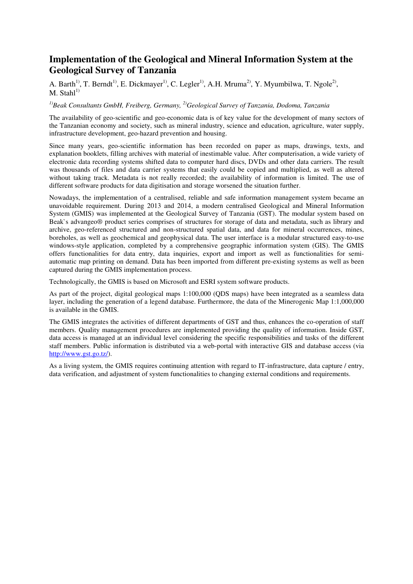## **Implementation of the Geological and Mineral Information System at the Geological Survey of Tanzania**

A. Barth<sup>1)</sup>, T. Berndt<sup>1)</sup>, E. Dickmayer<sup>1)</sup>, C. Legler<sup>1)</sup>, A.H. Mruma<sup>2)</sup>, Y. Myumbilwa, T. Ngole<sup>2)</sup>,  $M.$  Stahl<sup>1)</sup>

## *1)Beak Consultants GmbH, Freiberg, Germany, 2)Geological Survey of Tanzania, Dodoma, Tanzania*

The availability of geo-scientific and geo-economic data is of key value for the development of many sectors of the Tanzanian economy and society, such as mineral industry, science and education, agriculture, water supply, infrastructure development, geo-hazard prevention and housing.

Since many years, geo-scientific information has been recorded on paper as maps, drawings, texts, and explanation booklets, filling archives with material of inestimable value. After computerisation, a wide variety of electronic data recording systems shifted data to computer hard discs, DVDs and other data carriers. The result was thousands of files and data carrier systems that easily could be copied and multiplied, as well as altered without taking track. Metadata is not really recorded; the availability of information is limited. The use of different software products for data digitisation and storage worsened the situation further.

Nowadays, the implementation of a centralised, reliable and safe information management system became an unavoidable requirement. During 2013 and 2014, a modern centralised Geological and Mineral Information System (GMIS) was implemented at the Geological Survey of Tanzania (GST). The modular system based on Beak`s advangeo® product series comprises of structures for storage of data and metadata, such as library and archive, geo-referenced structured and non-structured spatial data, and data for mineral occurrences, mines, boreholes, as well as geochemical and geophysical data. The user interface is a modular structured easy-to-use windows-style application, completed by a comprehensive geographic information system (GIS). The GMIS offers functionalities for data entry, data inquiries, export and import as well as functionalities for semiautomatic map printing on demand. Data has been imported from different pre-existing systems as well as been captured during the GMIS implementation process.

Technologically, the GMIS is based on Microsoft and ESRI system software products.

As part of the project, digital geological maps 1:100,000 (QDS maps) have been integrated as a seamless data layer, including the generation of a legend database. Furthermore, the data of the Minerogenic Map 1:1,000,000 is available in the GMIS.

The GMIS integrates the activities of different departments of GST and thus, enhances the co-operation of staff members. Quality management procedures are implemented providing the quality of information. Inside GST, data access is managed at an individual level considering the specific responsibilities and tasks of the different staff members. Public information is distributed via a web-portal with interactive GIS and database access (via http://www.gst.go.tz/).

As a living system, the GMIS requires continuing attention with regard to IT-infrastructure, data capture / entry, data verification, and adjustment of system functionalities to changing external conditions and requirements.